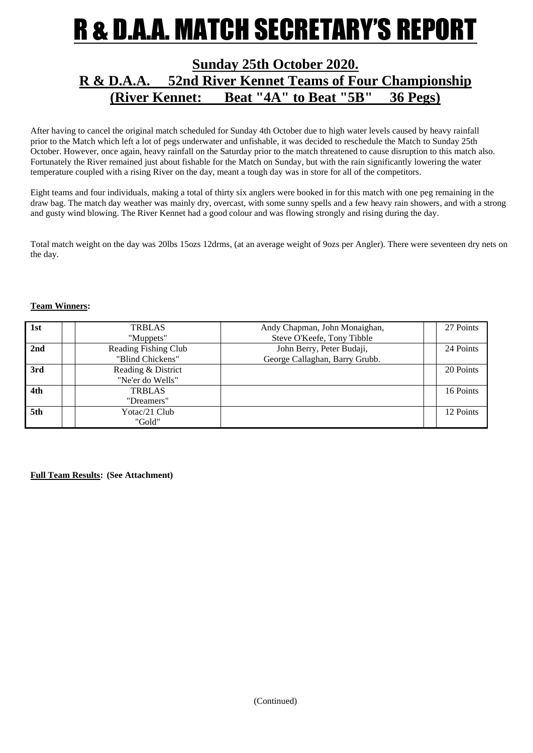# R & D.A.A. MATCH SECRETARY'S REPORT

## **Sunday 25th October 2020. R & D.A.A. 52nd River Kennet Teams of Four Championship (River Kennet: Beat "4A" to Beat "5B" 36 Pegs)**

After having to cancel the original match scheduled for Sunday 4th October due to high water levels caused by heavy rainfall prior to the Match which left a lot of pegs underwater and unfishable, it was decided to reschedule the Match to Sunday 25th October. However, once again, heavy rainfall on the Saturday prior to the match threatened to cause disruption to this match also. Fortunately the River remained just about fishable for the Match on Sunday, but with the rain significantly lowering the water temperature coupled with a rising River on the day, meant a tough day was in store for all of the competitors.

Eight teams and four individuals, making a total of thirty six anglers were booked in for this match with one peg remaining in the draw bag. The match day weather was mainly dry, overcast, with some sunny spells and a few heavy rain showers, and with a strong and gusty wind blowing. The River Kennet had a good colour and was flowing strongly and rising during the day.

Total match weight on the day was 20lbs 15ozs 12drms, (at an average weight of 9ozs per Angler). There were seventeen dry nets on the day.

#### **Team Winners:**

| 1st | <b>TRBLAS</b>        | Andy Chapman, John Monaighan,  | 27 Points |
|-----|----------------------|--------------------------------|-----------|
|     | "Muppets"            | Steve O'Keefe, Tony Tibble     |           |
| 2nd | Reading Fishing Club | John Berry, Peter Budaji,      | 24 Points |
|     | "Blind Chickens"     | George Callaghan, Barry Grubb. |           |
| 3rd | Reading & District   |                                | 20 Points |
|     | "Ne'er do Wells"     |                                |           |
| 4th | <b>TRBLAS</b>        |                                | 16 Points |
|     | "Dreamers"           |                                |           |
| 5th | Yotac/21 Club        |                                | 12 Points |
|     | "Gold"               |                                |           |

**Full Team Results: (See Attachment)**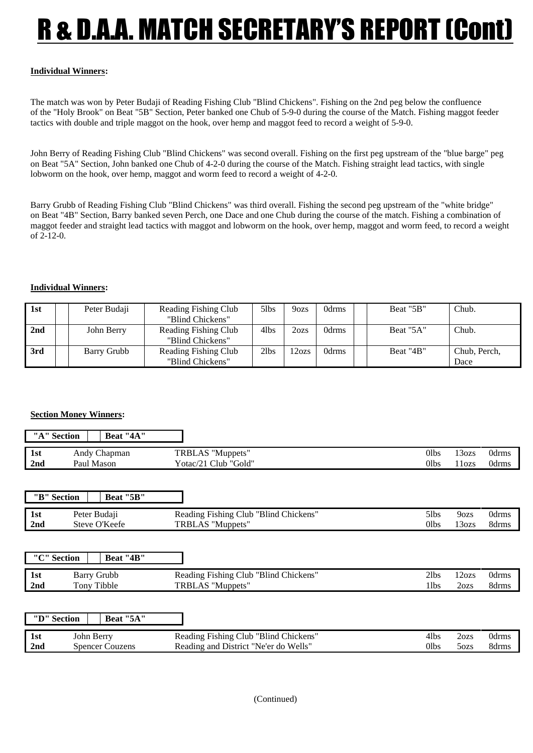# R & D.A.A. MATCH SECRETARY'S REPORT (Cont)

### **Individual Winners:**

The match was won by Peter Budaji of Reading Fishing Club "Blind Chickens". Fishing on the 2nd peg below the confluence of the "Holy Brook" on Beat "5B" Section, Peter banked one Chub of 5-9-0 during the course of the Match. Fishing maggot feeder tactics with double and triple maggot on the hook, over hemp and maggot feed to record a weight of 5-9-0.

John Berry of Reading Fishing Club "Blind Chickens" was second overall. Fishing on the first peg upstream of the "blue barge" peg on Beat "5A" Section, John banked one Chub of 4-2-0 during the course of the Match. Fishing straight lead tactics, with single lobworm on the hook, over hemp, maggot and worm feed to record a weight of 4-2-0.

Barry Grubb of Reading Fishing Club "Blind Chickens" was third overall. Fishing the second peg upstream of the "white bridge" on Beat "4B" Section, Barry banked seven Perch, one Dace and one Chub during the course of the match. Fishing a combination of maggot feeder and straight lead tactics with maggot and lobworm on the hook, over hemp, maggot and worm feed, to record a weight of 2-12-0.

#### **Individual Winners:**

| 1st | Peter Budaji | Reading Fishing Club | 5lbs | 9ozs  | 0drms | Beat "5B" | Chub.        |
|-----|--------------|----------------------|------|-------|-------|-----------|--------------|
|     |              | "Blind Chickens"     |      |       |       |           |              |
| 2nd | John Berry   | Reading Fishing Club | 4lbs | 2ozs  | 0drms | Beat "5A" | Chub.        |
|     |              | "Blind Chickens"     |      |       |       |           |              |
| 3rd | Barry Grubb  | Reading Fishing Club | 2lbs | 12ozs | 0drms | Beat "4B" | Chub, Perch. |
|     |              | "Blind Chickens"     |      |       |       |           | Dace         |

### **Section Money Winners:**

|                 | "A" Section | Beat "4A"    |                      |      |        |       |
|-----------------|-------------|--------------|----------------------|------|--------|-------|
| 1st             |             | Andy Chapman | TRBLAS "Muppets"     | Olbs | 130zs  | 0drms |
| 2 <sub>nd</sub> |             | Paul Mason   | Yotac/21 Club "Gold" | 01bs | l 1ozs | 0drms |

|                 | "B" Section<br>Beat "5B" |                                       |      |                  |       |
|-----------------|--------------------------|---------------------------------------|------|------------------|-------|
| 1st             | Peter Budaji             | Reading Fishing Club "Blind Chickens" | 51bs | 9 <sub>ozs</sub> | 0drms |
| 2 <sub>nd</sub> | Steve O'Keefe            | TRBLAS "Muppets"                      | 01bs | 130zs            | 8drms |

|             | "C" Section<br>Beat "4B" |                                       |       |       |       |
|-------------|--------------------------|---------------------------------------|-------|-------|-------|
| $\vert$ 1st | Barry Grubb              | Reading Fishing Club "Blind Chickens" | 21bs  | 12ozs | 0drms |
| 2nd         | Tony Tibble              | TRBLAS "Muppets"                      | l lbs | 2ozs  | 8drms |

|             | "D" Section<br>Beat "5A" |                                       |      |      |       |
|-------------|--------------------------|---------------------------------------|------|------|-------|
| $\vert$ 1st | John Berry               | Reading Fishing Club "Blind Chickens" | 4lbs | 2ozs | 0drms |
| 2nd         | <b>Spencer Couzens</b>   | Reading and District "Ne'er do Wells" | Olbs | 5ozs | 8drms |